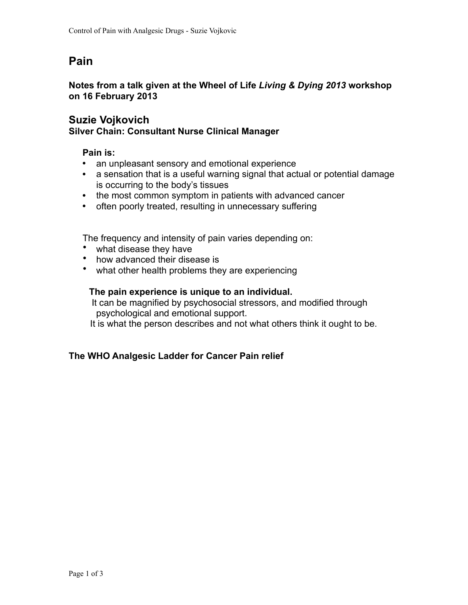## **Pain**

### **Notes from a talk given at the Wheel of Life** *Living & Dying 2013* **workshop on 16 February 2013**

### **Suzie Vojkovich**

### **Silver Chain: Consultant Nurse Clinical Manager**

### **Pain is:**

- an unpleasant sensory and emotional experience
- a sensation that is a useful warning signal that actual or potential damage is occurring to the body's tissues
- the most common symptom in patients with advanced cancer
- often poorly treated, resulting in unnecessary suffering

The frequency and intensity of pain varies depending on:

- what disease they have
- how advanced their disease is
- what other health problems they are experiencing

### **The pain experience is unique to an individual.**

 It can be magnified by psychosocial stressors, and modified through psychological and emotional support.

It is what the person describes and not what others think it ought to be.

### **The WHO Analgesic Ladder for Cancer Pain relief**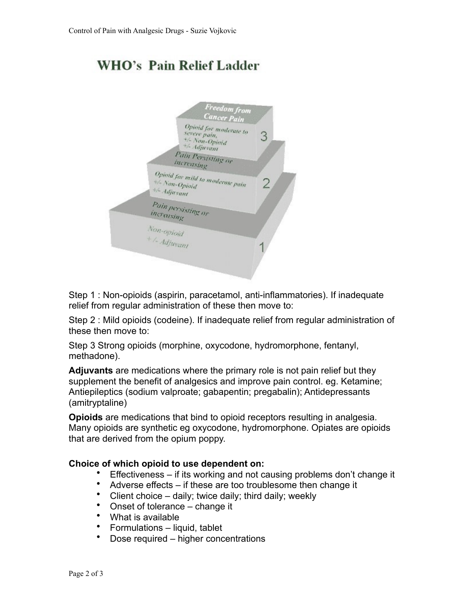# **WHO's Pain Relief Ladder**



Step 1 : Non-opioids (aspirin, paracetamol, anti-inflammatories). If inadequate relief from regular administration of these then move to:

Step 2 : Mild opioids (codeine). If inadequate relief from regular administration of these then move to:

Step 3 Strong opioids (morphine, oxycodone, hydromorphone, fentanyl, methadone).

**Adjuvants** are medications where the primary role is not pain relief but they supplement the benefit of analgesics and improve pain control. eg. Ketamine; Antiepileptics (sodium valproate; gabapentin; pregabalin); Antidepressants (amitryptaline)

**Opioids** are medications that bind to opioid receptors resulting in analgesia. Many opioids are synthetic eg oxycodone, hydromorphone. Opiates are opioids that are derived from the opium poppy.

### **Choice of which opioid to use dependent on:**

- Effectiveness if its working and not causing problems don't change it
- Adverse effects if these are too troublesome then change it
- Client choice daily; twice daily; third daily; weekly
- Onset of tolerance change it
- What is available
- Formulations liquid, tablet<br>• Dose required bigber conc
- Dose required higher concentrations